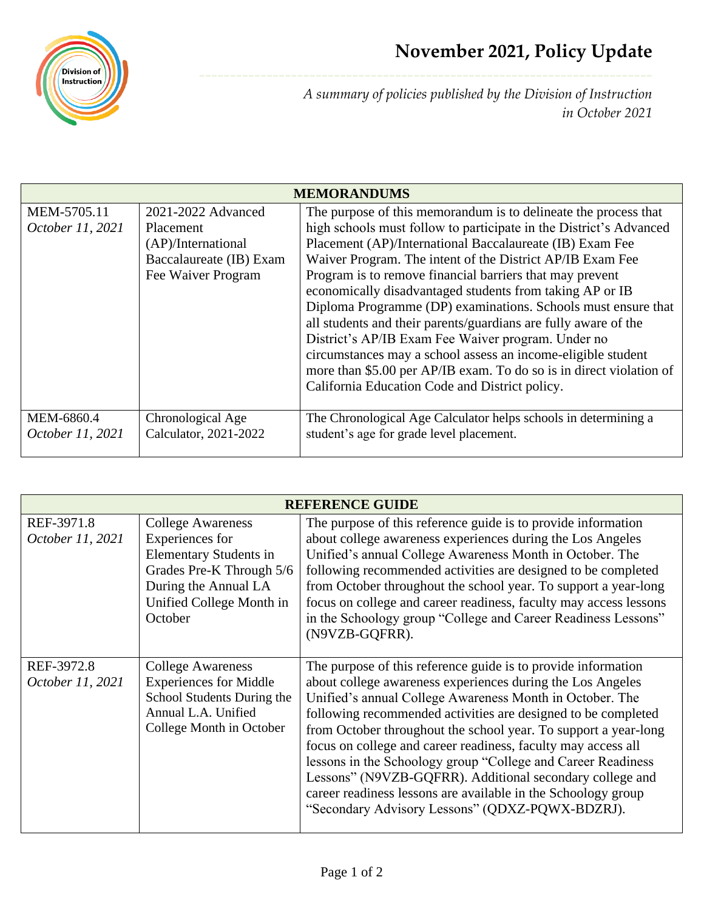

*A summary of policies published by the Division of Instruction in October 2021*

| <b>MEMORANDUMS</b> |                         |                                                                     |  |  |
|--------------------|-------------------------|---------------------------------------------------------------------|--|--|
| MEM-5705.11        | 2021-2022 Advanced      | The purpose of this memorandum is to delineate the process that     |  |  |
| October 11, 2021   | <b>Placement</b>        | high schools must follow to participate in the District's Advanced  |  |  |
|                    | (AP)/International      | Placement (AP)/International Baccalaureate (IB) Exam Fee            |  |  |
|                    | Baccalaureate (IB) Exam | Waiver Program. The intent of the District AP/IB Exam Fee           |  |  |
|                    | Fee Waiver Program      | Program is to remove financial barriers that may prevent            |  |  |
|                    |                         | economically disadvantaged students from taking AP or IB            |  |  |
|                    |                         | Diploma Programme (DP) examinations. Schools must ensure that       |  |  |
|                    |                         | all students and their parents/guardians are fully aware of the     |  |  |
|                    |                         | District's AP/IB Exam Fee Waiver program. Under no                  |  |  |
|                    |                         | circumstances may a school assess an income-eligible student        |  |  |
|                    |                         | more than \$5.00 per AP/IB exam. To do so is in direct violation of |  |  |
|                    |                         | California Education Code and District policy.                      |  |  |
|                    |                         |                                                                     |  |  |
| MEM-6860.4         | Chronological Age       | The Chronological Age Calculator helps schools in determining a     |  |  |
| October 11, 2021   | Calculator, 2021-2022   | student's age for grade level placement.                            |  |  |
|                    |                         |                                                                     |  |  |

| <b>REFERENCE GUIDE</b>         |                                                                                                                                                                         |                                                                                                                                                                                                                                                                                                                                                                                                                                                                                                                                                                                                                                              |  |
|--------------------------------|-------------------------------------------------------------------------------------------------------------------------------------------------------------------------|----------------------------------------------------------------------------------------------------------------------------------------------------------------------------------------------------------------------------------------------------------------------------------------------------------------------------------------------------------------------------------------------------------------------------------------------------------------------------------------------------------------------------------------------------------------------------------------------------------------------------------------------|--|
| REF-3971.8<br>October 11, 2021 | <b>College Awareness</b><br>Experiences for<br><b>Elementary Students in</b><br>Grades Pre-K Through 5/6<br>During the Annual LA<br>Unified College Month in<br>October | The purpose of this reference guide is to provide information<br>about college awareness experiences during the Los Angeles<br>Unified's annual College Awareness Month in October. The<br>following recommended activities are designed to be completed<br>from October throughout the school year. To support a year-long<br>focus on college and career readiness, faculty may access lessons<br>in the Schoology group "College and Career Readiness Lessons"<br>(N9VZB-GQFRR).                                                                                                                                                          |  |
| REF-3972.8<br>October 11, 2021 | <b>College Awareness</b><br><b>Experiences for Middle</b><br>School Students During the<br>Annual L.A. Unified<br>College Month in October                              | The purpose of this reference guide is to provide information<br>about college awareness experiences during the Los Angeles<br>Unified's annual College Awareness Month in October. The<br>following recommended activities are designed to be completed<br>from October throughout the school year. To support a year-long<br>focus on college and career readiness, faculty may access all<br>lessons in the Schoology group "College and Career Readiness<br>Lessons" (N9VZB-GQFRR). Additional secondary college and<br>career readiness lessons are available in the Schoology group<br>"Secondary Advisory Lessons" (QDXZ-PQWX-BDZRJ). |  |